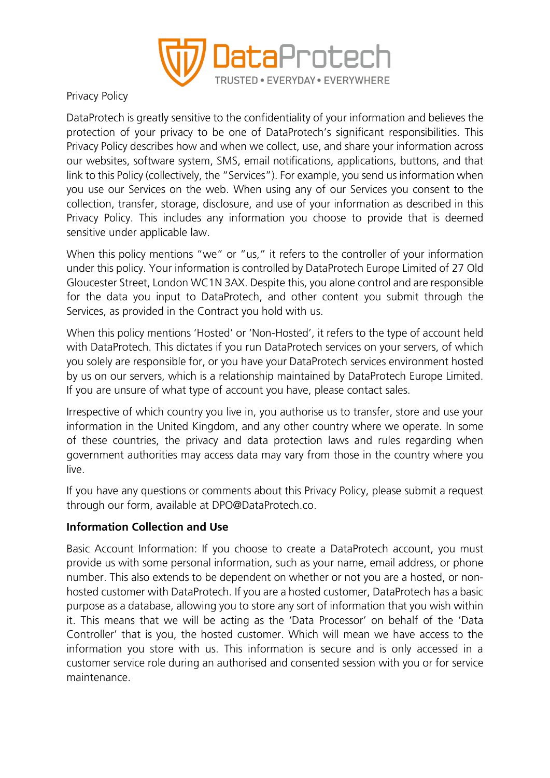

Privacy Policy

DataProtech is greatly sensitive to the confidentiality of your information and believes the protection of your privacy to be one of DataProtech's significant responsibilities. This Privacy Policy describes how and when we collect, use, and share your information across our websites, software system, SMS, email notifications, applications, buttons, and that link to this Policy (collectively, the "Services"). For example, you send us information when you use our Services on the web. When using any of our Services you consent to the collection, transfer, storage, disclosure, and use of your information as described in this Privacy Policy. This includes any information you choose to provide that is deemed sensitive under applicable law.

When this policy mentions "we" or "us," it refers to the controller of your information under this policy. Your information is controlled by DataProtech Europe Limited of 27 Old Gloucester Street, London WC1N 3AX. Despite this, you alone control and are responsible for the data you input to DataProtech, and other content you submit through the Services, as provided in the Contract you hold with us.

When this policy mentions 'Hosted' or 'Non-Hosted', it refers to the type of account held with DataProtech. This dictates if you run DataProtech services on your servers, of which you solely are responsible for, or you have your DataProtech services environment hosted by us on our servers, which is a relationship maintained by DataProtech Europe Limited. If you are unsure of what type of account you have, please contact sales.

Irrespective of which country you live in, you authorise us to transfer, store and use your information in the United Kingdom, and any other country where we operate. In some of these countries, the privacy and data protection laws and rules regarding when government authorities may access data may vary from those in the country where you live.

If you have any questions or comments about this Privacy Policy, please submit a request through our form, available at DPO@DataProtech.co.

# **Information Collection and Use**

Basic Account Information: If you choose to create a DataProtech account, you must provide us with some personal information, such as your name, email address, or phone number. This also extends to be dependent on whether or not you are a hosted, or nonhosted customer with DataProtech. If you are a hosted customer, DataProtech has a basic purpose as a database, allowing you to store any sort of information that you wish within it. This means that we will be acting as the 'Data Processor' on behalf of the 'Data Controller' that is you, the hosted customer. Which will mean we have access to the information you store with us. This information is secure and is only accessed in a customer service role during an authorised and consented session with you or for service maintenance.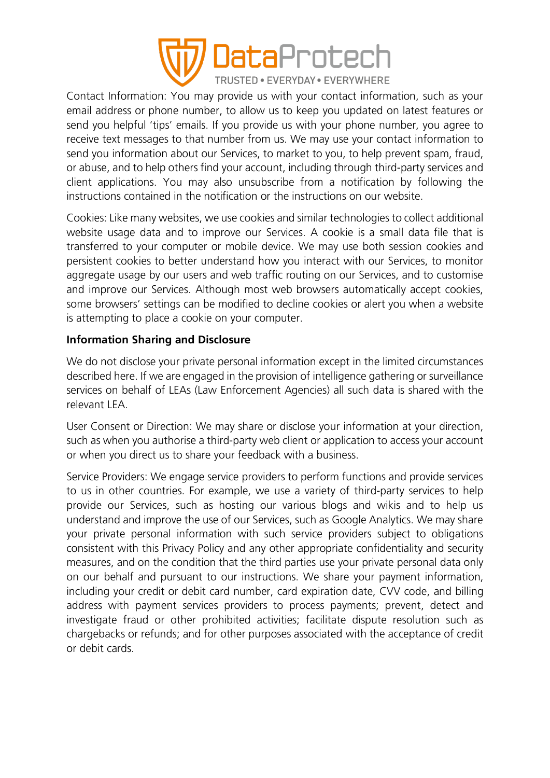

Contact Information: You may provide us with your contact information, such as your email address or phone number, to allow us to keep you updated on latest features or send you helpful 'tips' emails. If you provide us with your phone number, you agree to receive text messages to that number from us. We may use your contact information to send you information about our Services, to market to you, to help prevent spam, fraud, or abuse, and to help others find your account, including through third-party services and client applications. You may also unsubscribe from a notification by following the instructions contained in the notification or the instructions on our website.

Cookies: Like many websites, we use cookies and similar technologies to collect additional website usage data and to improve our Services. A cookie is a small data file that is transferred to your computer or mobile device. We may use both session cookies and persistent cookies to better understand how you interact with our Services, to monitor aggregate usage by our users and web traffic routing on our Services, and to customise and improve our Services. Although most web browsers automatically accept cookies, some browsers' settings can be modified to decline cookies or alert you when a website is attempting to place a cookie on your computer.

### **Information Sharing and Disclosure**

We do not disclose your private personal information except in the limited circumstances described here. If we are engaged in the provision of intelligence gathering or surveillance services on behalf of LEAs (Law Enforcement Agencies) all such data is shared with the relevant LEA.

User Consent or Direction: We may share or disclose your information at your direction, such as when you authorise a third-party web client or application to access your account or when you direct us to share your feedback with a business.

Service Providers: We engage service providers to perform functions and provide services to us in other countries. For example, we use a variety of third-party services to help provide our Services, such as hosting our various blogs and wikis and to help us understand and improve the use of our Services, such as Google Analytics. We may share your private personal information with such service providers subject to obligations consistent with this Privacy Policy and any other appropriate confidentiality and security measures, and on the condition that the third parties use your private personal data only on our behalf and pursuant to our instructions. We share your payment information, including your credit or debit card number, card expiration date, CVV code, and billing address with payment services providers to process payments; prevent, detect and investigate fraud or other prohibited activities; facilitate dispute resolution such as chargebacks or refunds; and for other purposes associated with the acceptance of credit or debit cards.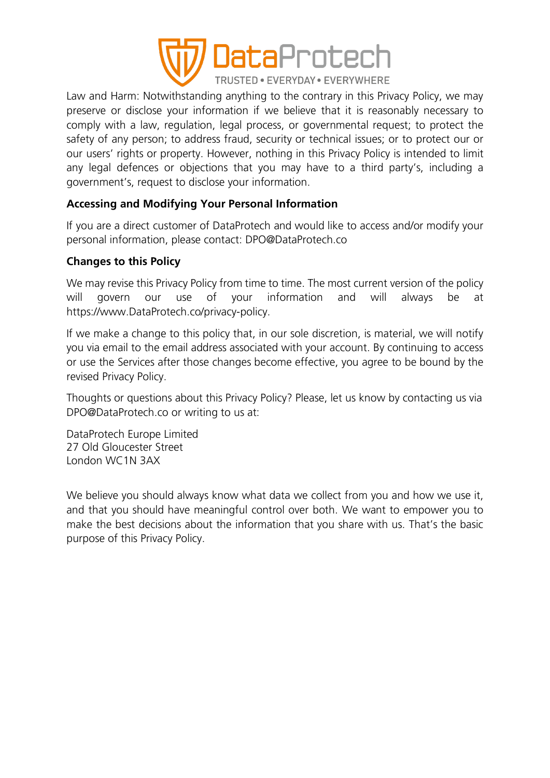

Law and Harm: Notwithstanding anything to the contrary in this Privacy Policy, we may preserve or disclose your information if we believe that it is reasonably necessary to comply with a law, regulation, legal process, or governmental request; to protect the safety of any person; to address fraud, security or technical issues; or to protect our or our users' rights or property. However, nothing in this Privacy Policy is intended to limit any legal defences or objections that you may have to a third party's, including a government's, request to disclose your information.

# **Accessing and Modifying Your Personal Information**

If you are a direct customer of DataProtech and would like to access and/or modify your personal information, please contact: DPO@DataProtech.co

#### **Changes to this Policy**

We may revise this Privacy Policy from time to time. The most current version of the policy will govern our use of your information and will always be at https://www.DataProtech.co/privacy-policy.

If we make a change to this policy that, in our sole discretion, is material, we will notify you via email to the email address associated with your account. By continuing to access or use the Services after those changes become effective, you agree to be bound by the revised Privacy Policy.

Thoughts or questions about this Privacy Policy? Please, let us know by contacting us via DPO@DataProtech.co or writing to us at:

DataProtech Europe Limited 27 Old Gloucester Street London WC1N 3AX

We believe you should always know what data we collect from you and how we use it, and that you should have meaningful control over both. We want to empower you to make the best decisions about the information that you share with us. That's the basic purpose of this Privacy Policy.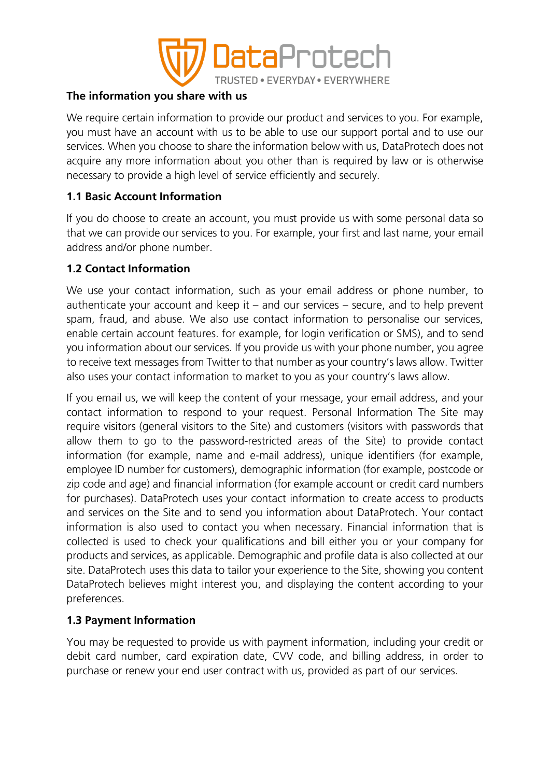

### **The information you share with us**

We require certain information to provide our product and services to you. For example, you must have an account with us to be able to use our support portal and to use our services. When you choose to share the information below with us, DataProtech does not acquire any more information about you other than is required by law or is otherwise necessary to provide a high level of service efficiently and securely.

### **1.1 Basic Account Information**

If you do choose to create an account, you must provide us with some personal data so that we can provide our services to you. For example, your first and last name, your email address and/or phone number.

### **1.2 Contact Information**

We use your contact information, such as your email address or phone number, to authenticate your account and keep it  $-$  and our services  $-$  secure, and to help prevent spam, fraud, and abuse. We also use contact information to personalise our services, enable certain account features. for example, for login verification or SMS), and to send you information about our services. If you provide us with your phone number, you agree to receive text messages from Twitter to that number as your country's laws allow. Twitter also uses your contact information to market to you as your country's laws allow.

If you email us, we will keep the content of your message, your email address, and your contact information to respond to your request. Personal Information The Site may require visitors (general visitors to the Site) and customers (visitors with passwords that allow them to go to the password-restricted areas of the Site) to provide contact information (for example, name and e-mail address), unique identifiers (for example, employee ID number for customers), demographic information (for example, postcode or zip code and age) and financial information (for example account or credit card numbers for purchases). DataProtech uses your contact information to create access to products and services on the Site and to send you information about DataProtech. Your contact information is also used to contact you when necessary. Financial information that is collected is used to check your qualifications and bill either you or your company for products and services, as applicable. Demographic and profile data is also collected at our site. DataProtech uses this data to tailor your experience to the Site, showing you content DataProtech believes might interest you, and displaying the content according to your preferences.

#### **1.3 Payment Information**

You may be requested to provide us with payment information, including your credit or debit card number, card expiration date, CVV code, and billing address, in order to purchase or renew your end user contract with us, provided as part of our services.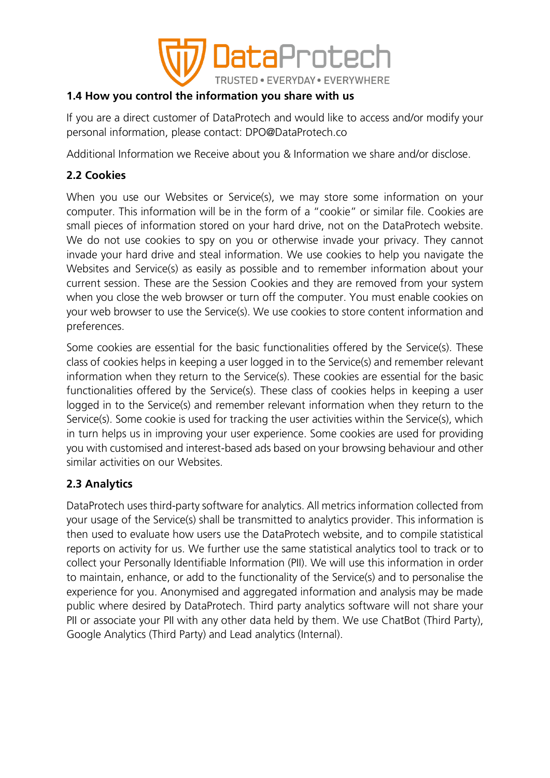

# **1.4 How you control the information you share with us**

If you are a direct customer of DataProtech and would like to access and/or modify your personal information, please contact: DPO@DataProtech.co

Additional Information we Receive about you & Information we share and/or disclose.

# **2.2 Cookies**

When you use our Websites or Service(s), we may store some information on your computer. This information will be in the form of a "cookie" or similar file. Cookies are small pieces of information stored on your hard drive, not on the DataProtech website. We do not use cookies to spy on you or otherwise invade your privacy. They cannot invade your hard drive and steal information. We use cookies to help you navigate the Websites and Service(s) as easily as possible and to remember information about your current session. These are the Session Cookies and they are removed from your system when you close the web browser or turn off the computer. You must enable cookies on your web browser to use the Service(s). We use cookies to store content information and preferences.

Some cookies are essential for the basic functionalities offered by the Service(s). These class of cookies helps in keeping a user logged in to the Service(s) and remember relevant information when they return to the Service(s). These cookies are essential for the basic functionalities offered by the Service(s). These class of cookies helps in keeping a user logged in to the Service(s) and remember relevant information when they return to the Service(s). Some cookie is used for tracking the user activities within the Service(s), which in turn helps us in improving your user experience. Some cookies are used for providing you with customised and interest-based ads based on your browsing behaviour and other similar activities on our Websites.

# **2.3 Analytics**

DataProtech uses third-party software for analytics. All metrics information collected from your usage of the Service(s) shall be transmitted to analytics provider. This information is then used to evaluate how users use the DataProtech website, and to compile statistical reports on activity for us. We further use the same statistical analytics tool to track or to collect your Personally Identifiable Information (PII). We will use this information in order to maintain, enhance, or add to the functionality of the Service(s) and to personalise the experience for you. Anonymised and aggregated information and analysis may be made public where desired by DataProtech. Third party analytics software will not share your PII or associate your PII with any other data held by them. We use ChatBot (Third Party), Google Analytics (Third Party) and Lead analytics (Internal).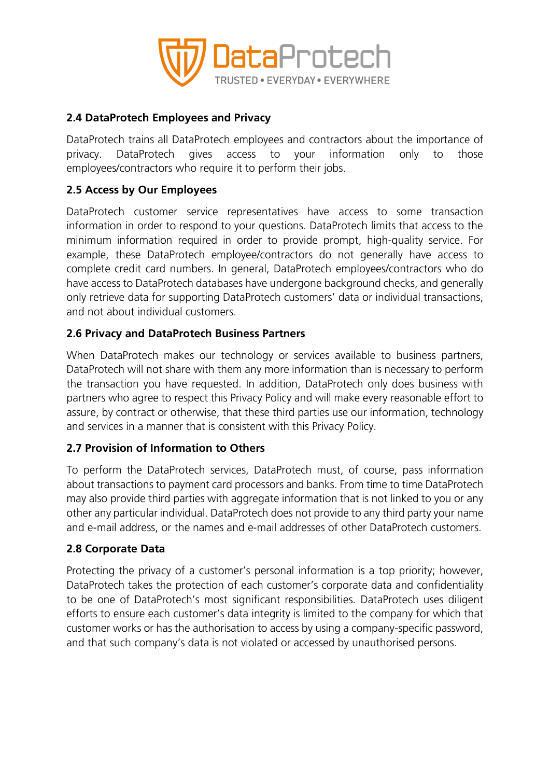

### **2.4 DataProtech Employees and Privacy**

DataProtech trains all DataProtech employees and contractors about the importance of privacy. DataProtech gives access to your information only to those employees/contractors who require it to perform their jobs.

### **2.5 Access by Our Employees**

DataProtech customer service representatives have access to some transaction information in order to respond to your questions. DataProtech limits that access to the minimum information required in order to provide prompt, high-quality service. For example, these DataProtech employee/contractors do not generally have access to complete credit card numbers. In general, DataProtech employees/contractors who do have access to DataProtech databases have undergone background checks, and generally only retrieve data for supporting DataProtech customers' data or individual transactions, and not about individual customers.

### **2.6 Privacy and DataProtech Business Partners**

When DataProtech makes our technology or services available to business partners, DataProtech will not share with them any more information than is necessary to perform the transaction you have requested. In addition, DataProtech only does business with partners who agree to respect this Privacy Policy and will make every reasonable effort to assure, by contract or otherwise, that these third parties use our information, technology and services in a manner that is consistent with this Privacy Policy.

#### **2.7 Provision of Information to Others**

To perform the DataProtech services, DataProtech must, of course, pass information about transactions to payment card processors and banks. From time to time DataProtech may also provide third parties with aggregate information that is not linked to you or any other any particular individual. DataProtech does not provide to any third party your name and e-mail address, or the names and e-mail addresses of other DataProtech customers.

#### **2.8 Corporate Data**

Protecting the privacy of a customer's personal information is a top priority; however, DataProtech takes the protection of each customer's corporate data and confidentiality to be one of DataProtech's most significant responsibilities. DataProtech uses diligent efforts to ensure each customer's data integrity is limited to the company for which that customer works or has the authorisation to access by using a company-specific password, and that such company's data is not violated or accessed by unauthorised persons.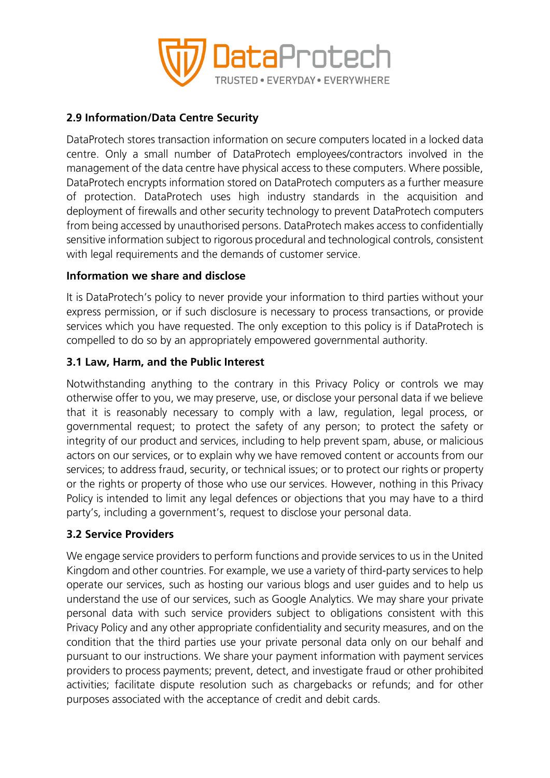

# **2.9 Information/Data Centre Security**

DataProtech stores transaction information on secure computers located in a locked data centre. Only a small number of DataProtech employees/contractors involved in the management of the data centre have physical access to these computers. Where possible, DataProtech encrypts information stored on DataProtech computers as a further measure of protection. DataProtech uses high industry standards in the acquisition and deployment of firewalls and other security technology to prevent DataProtech computers from being accessed by unauthorised persons. DataProtech makes access to confidentially sensitive information subject to rigorous procedural and technological controls, consistent with legal requirements and the demands of customer service.

# **Information we share and disclose**

It is DataProtech's policy to never provide your information to third parties without your express permission, or if such disclosure is necessary to process transactions, or provide services which you have requested. The only exception to this policy is if DataProtech is compelled to do so by an appropriately empowered governmental authority.

# **3.1 Law, Harm, and the Public Interest**

Notwithstanding anything to the contrary in this Privacy Policy or controls we may otherwise offer to you, we may preserve, use, or disclose your personal data if we believe that it is reasonably necessary to comply with a law, regulation, legal process, or governmental request; to protect the safety of any person; to protect the safety or integrity of our product and services, including to help prevent spam, abuse, or malicious actors on our services, or to explain why we have removed content or accounts from our services; to address fraud, security, or technical issues; or to protect our rights or property or the rights or property of those who use our services. However, nothing in this Privacy Policy is intended to limit any legal defences or objections that you may have to a third party's, including a government's, request to disclose your personal data.

# **3.2 Service Providers**

We engage service providers to perform functions and provide services to us in the United Kingdom and other countries. For example, we use a variety of third-party services to help operate our services, such as hosting our various blogs and user guides and to help us understand the use of our services, such as Google Analytics. We may share your private personal data with such service providers subject to obligations consistent with this Privacy Policy and any other appropriate confidentiality and security measures, and on the condition that the third parties use your private personal data only on our behalf and pursuant to our instructions. We share your payment information with payment services providers to process payments; prevent, detect, and investigate fraud or other prohibited activities; facilitate dispute resolution such as chargebacks or refunds; and for other purposes associated with the acceptance of credit and debit cards.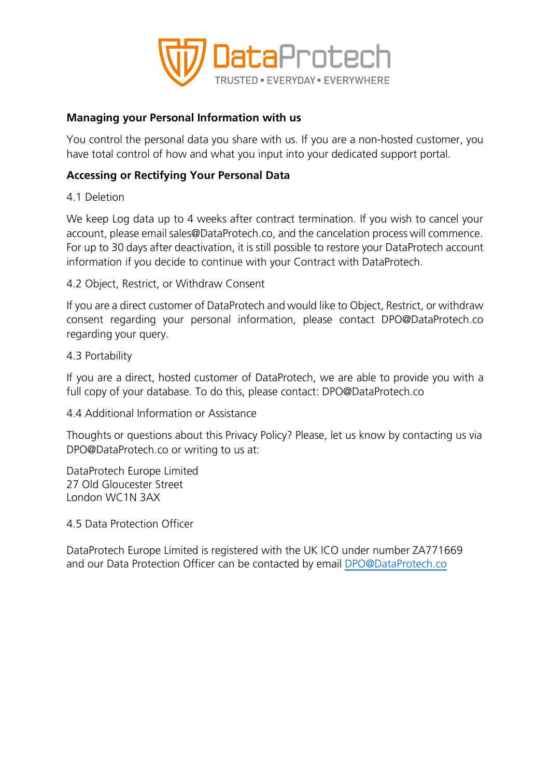

#### **Managing your Personal Information with us**

You control the personal data you share with us. If you are a non-hosted customer, you have total control of how and what you input into your dedicated support portal.

#### **Accessing or Rectifying Your Personal Data**

4.1 Deletion

We keep Log data up to 4 weeks after contract termination. If you wish to cancel your account, please email sales@DataProtech.co, and the cancelation process will commence. For up to 30 days after deactivation, it is still possible to restore your DataProtech account information if you decide to continue with your Contract with DataProtech.

4.2 Object, Restrict, or Withdraw Consent

If you are a direct customer of DataProtech and would like to Object, Restrict, or withdraw consent regarding your personal information, please contact DPO@DataProtech.co regarding your query.

4.3 Portability

If you are a direct, hosted customer of DataProtech, we are able to provide you with a full copy of your database. To do this, please contact: DPO@DataProtech.co

4.4 Additional Information or Assistance

Thoughts or questions about this Privacy Policy? Please, let us know by contacting us via DPO@DataProtech.co or writing to us at:

DataProtech Europe Limited 27 Old Gloucester Street London WC1N 3AX

4.5 Data Protection Officer

DataProtech Europe Limited is registered with the UK ICO under number ZA771669 and our Data Protection Officer can be contacted by email [DPO@DataProtech.co](mailto:DPO@DataProtech.co)